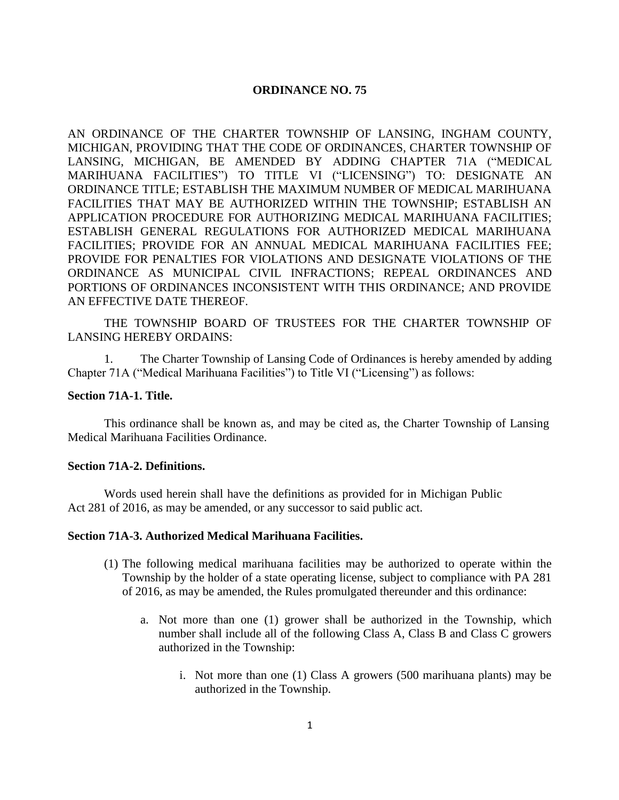# **ORDINANCE NO. 75**

AN ORDINANCE OF THE CHARTER TOWNSHIP OF LANSING, INGHAM COUNTY, MICHIGAN, PROVIDING THAT THE CODE OF ORDINANCES, CHARTER TOWNSHIP OF LANSING, MICHIGAN, BE AMENDED BY ADDING CHAPTER 71A ("MEDICAL MARIHUANA FACILITIES") TO TITLE VI ("LICENSING") TO: DESIGNATE AN ORDINANCE TITLE; ESTABLISH THE MAXIMUM NUMBER OF MEDICAL MARIHUANA FACILITIES THAT MAY BE AUTHORIZED WITHIN THE TOWNSHIP; ESTABLISH AN APPLICATION PROCEDURE FOR AUTHORIZING MEDICAL MARIHUANA FACILITIES; ESTABLISH GENERAL REGULATIONS FOR AUTHORIZED MEDICAL MARIHUANA FACILITIES; PROVIDE FOR AN ANNUAL MEDICAL MARIHUANA FACILITIES FEE; PROVIDE FOR PENALTIES FOR VIOLATIONS AND DESIGNATE VIOLATIONS OF THE ORDINANCE AS MUNICIPAL CIVIL INFRACTIONS; REPEAL ORDINANCES AND PORTIONS OF ORDINANCES INCONSISTENT WITH THIS ORDINANCE; AND PROVIDE AN EFFECTIVE DATE THEREOF.

THE TOWNSHIP BOARD OF TRUSTEES FOR THE CHARTER TOWNSHIP OF LANSING HEREBY ORDAINS:

1. The Charter Township of Lansing Code of Ordinances is hereby amended by adding Chapter 71A ("Medical Marihuana Facilities") to Title VI ("Licensing") as follows:

## **Section 71A-1. Title.**

This ordinance shall be known as, and may be cited as, the Charter Township of Lansing Medical Marihuana Facilities Ordinance.

# **Section 71A-2. Definitions.**

Words used herein shall have the definitions as provided for in Michigan Public Act 281 of 2016, as may be amended, or any successor to said public act.

## **Section 71A-3. Authorized Medical Marihuana Facilities.**

- (1) The following medical marihuana facilities may be authorized to operate within the Township by the holder of a state operating license, subject to compliance with PA 281 of 2016, as may be amended, the Rules promulgated thereunder and this ordinance:
	- a. Not more than one (1) grower shall be authorized in the Township, which number shall include all of the following Class A, Class B and Class C growers authorized in the Township:
		- i. Not more than one (1) Class A growers (500 marihuana plants) may be authorized in the Township.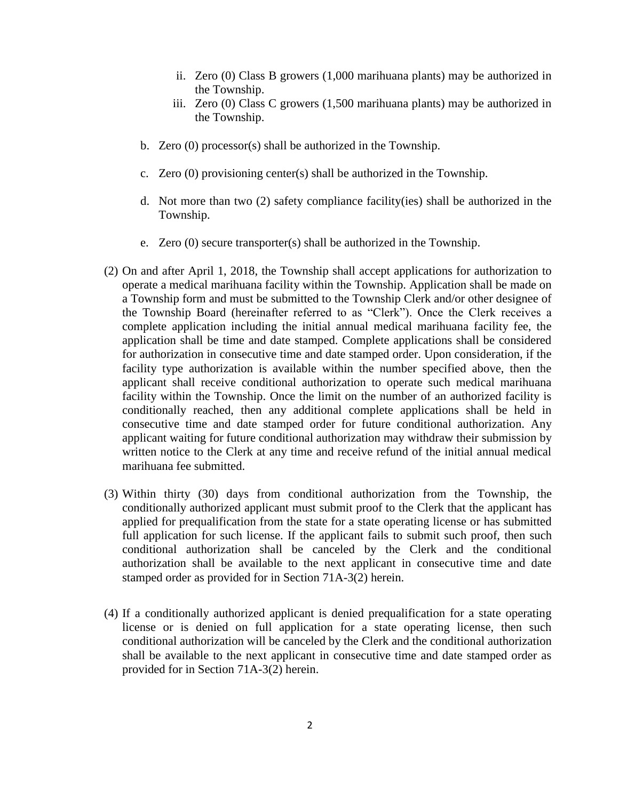- ii. Zero (0) Class B growers (1,000 marihuana plants) may be authorized in the Township.
- iii. Zero (0) Class C growers (1,500 marihuana plants) may be authorized in the Township.
- b. Zero (0) processor(s) shall be authorized in the Township.
- c. Zero (0) provisioning center(s) shall be authorized in the Township.
- d. Not more than two (2) safety compliance facility(ies) shall be authorized in the Township.
- e. Zero (0) secure transporter(s) shall be authorized in the Township.
- (2) On and after April 1, 2018, the Township shall accept applications for authorization to operate a medical marihuana facility within the Township. Application shall be made on a Township form and must be submitted to the Township Clerk and/or other designee of the Township Board (hereinafter referred to as "Clerk"). Once the Clerk receives a complete application including the initial annual medical marihuana facility fee, the application shall be time and date stamped. Complete applications shall be considered for authorization in consecutive time and date stamped order. Upon consideration, if the facility type authorization is available within the number specified above, then the applicant shall receive conditional authorization to operate such medical marihuana facility within the Township. Once the limit on the number of an authorized facility is conditionally reached, then any additional complete applications shall be held in consecutive time and date stamped order for future conditional authorization. Any applicant waiting for future conditional authorization may withdraw their submission by written notice to the Clerk at any time and receive refund of the initial annual medical marihuana fee submitted.
- (3) Within thirty (30) days from conditional authorization from the Township, the conditionally authorized applicant must submit proof to the Clerk that the applicant has applied for prequalification from the state for a state operating license or has submitted full application for such license. If the applicant fails to submit such proof, then such conditional authorization shall be canceled by the Clerk and the conditional authorization shall be available to the next applicant in consecutive time and date stamped order as provided for in Section 71A-3(2) herein.
- (4) If a conditionally authorized applicant is denied prequalification for a state operating license or is denied on full application for a state operating license, then such conditional authorization will be canceled by the Clerk and the conditional authorization shall be available to the next applicant in consecutive time and date stamped order as provided for in Section 71A-3(2) herein.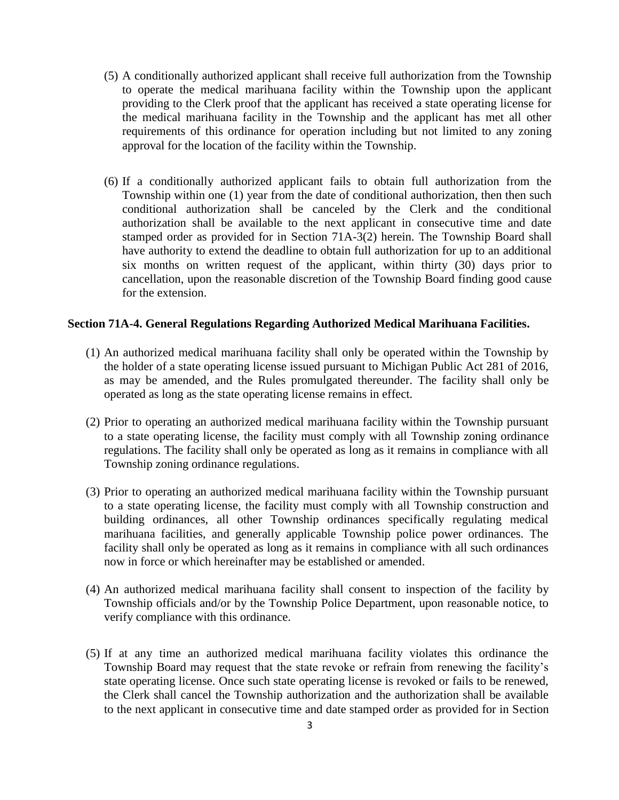- (5) A conditionally authorized applicant shall receive full authorization from the Township to operate the medical marihuana facility within the Township upon the applicant providing to the Clerk proof that the applicant has received a state operating license for the medical marihuana facility in the Township and the applicant has met all other requirements of this ordinance for operation including but not limited to any zoning approval for the location of the facility within the Township.
- (6) If a conditionally authorized applicant fails to obtain full authorization from the Township within one (1) year from the date of conditional authorization, then then such conditional authorization shall be canceled by the Clerk and the conditional authorization shall be available to the next applicant in consecutive time and date stamped order as provided for in Section 71A-3(2) herein. The Township Board shall have authority to extend the deadline to obtain full authorization for up to an additional six months on written request of the applicant, within thirty (30) days prior to cancellation, upon the reasonable discretion of the Township Board finding good cause for the extension.

### **Section 71A-4. General Regulations Regarding Authorized Medical Marihuana Facilities.**

- (1) An authorized medical marihuana facility shall only be operated within the Township by the holder of a state operating license issued pursuant to Michigan Public Act 281 of 2016, as may be amended, and the Rules promulgated thereunder. The facility shall only be operated as long as the state operating license remains in effect.
- (2) Prior to operating an authorized medical marihuana facility within the Township pursuant to a state operating license, the facility must comply with all Township zoning ordinance regulations. The facility shall only be operated as long as it remains in compliance with all Township zoning ordinance regulations.
- (3) Prior to operating an authorized medical marihuana facility within the Township pursuant to a state operating license, the facility must comply with all Township construction and building ordinances, all other Township ordinances specifically regulating medical marihuana facilities, and generally applicable Township police power ordinances. The facility shall only be operated as long as it remains in compliance with all such ordinances now in force or which hereinafter may be established or amended.
- (4) An authorized medical marihuana facility shall consent to inspection of the facility by Township officials and/or by the Township Police Department, upon reasonable notice, to verify compliance with this ordinance.
- (5) If at any time an authorized medical marihuana facility violates this ordinance the Township Board may request that the state revoke or refrain from renewing the facility's state operating license. Once such state operating license is revoked or fails to be renewed, the Clerk shall cancel the Township authorization and the authorization shall be available to the next applicant in consecutive time and date stamped order as provided for in Section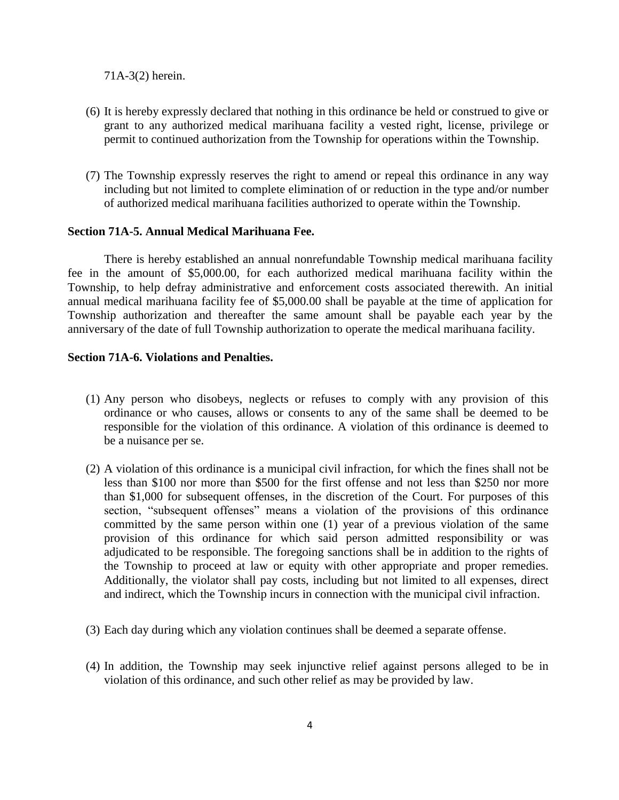71A-3(2) herein.

- (6) It is hereby expressly declared that nothing in this ordinance be held or construed to give or grant to any authorized medical marihuana facility a vested right, license, privilege or permit to continued authorization from the Township for operations within the Township.
- (7) The Township expressly reserves the right to amend or repeal this ordinance in any way including but not limited to complete elimination of or reduction in the type and/or number of authorized medical marihuana facilities authorized to operate within the Township.

### **Section 71A-5. Annual Medical Marihuana Fee.**

There is hereby established an annual nonrefundable Township medical marihuana facility fee in the amount of \$5,000.00, for each authorized medical marihuana facility within the Township, to help defray administrative and enforcement costs associated therewith. An initial annual medical marihuana facility fee of \$5,000.00 shall be payable at the time of application for Township authorization and thereafter the same amount shall be payable each year by the anniversary of the date of full Township authorization to operate the medical marihuana facility.

### **Section 71A-6. Violations and Penalties.**

- (1) Any person who disobeys, neglects or refuses to comply with any provision of this ordinance or who causes, allows or consents to any of the same shall be deemed to be responsible for the violation of this ordinance. A violation of this ordinance is deemed to be a nuisance per se.
- (2) A violation of this ordinance is a municipal civil infraction, for which the fines shall not be less than \$100 nor more than \$500 for the first offense and not less than \$250 nor more than \$1,000 for subsequent offenses, in the discretion of the Court. For purposes of this section, "subsequent offenses" means a violation of the provisions of this ordinance committed by the same person within one (1) year of a previous violation of the same provision of this ordinance for which said person admitted responsibility or was adjudicated to be responsible. The foregoing sanctions shall be in addition to the rights of the Township to proceed at law or equity with other appropriate and proper remedies. Additionally, the violator shall pay costs, including but not limited to all expenses, direct and indirect, which the Township incurs in connection with the municipal civil infraction.
- (3) Each day during which any violation continues shall be deemed a separate offense.
- (4) In addition, the Township may seek injunctive relief against persons alleged to be in violation of this ordinance, and such other relief as may be provided by law.